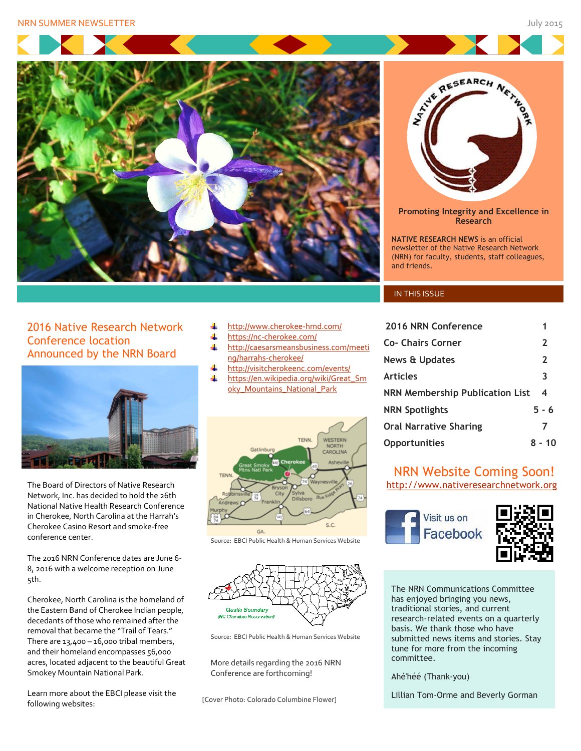



**Promoting Integrity and Excellence in Research**

**NATIVE RESEARCH NEWS** is an official newsletter of the Native Research Network (NRN) for faculty, students, staff colleagues, and friends.

#### **IN THIS ISSUE**

| 2016 NRN Conference             | 1              |
|---------------------------------|----------------|
| Co- Chairs Corner               | $\mathbf{2}$   |
| News & Updates                  | $\mathbf{2}$   |
| <b>Articles</b>                 | 3              |
| NRN Membership Publication List | $\overline{4}$ |
| <b>NRN Spotlights</b>           | $5 - 6$        |
| <b>Oral Narrative Sharing</b>   | 7              |
| <b>Opportunities</b>            | $8 - 10$       |

#### NRN Website Coming Soon! [http://www.nativeresearchnetwork.org](http://www.nativeresearchnetwork.org/)

Visit us on Facebook



The NRN Communications Committee has enjoyed bringing you news, traditional stories, and current research-related events on a quarterly basis. We thank those who have submitted news items and stories. Stay tune for more from the incoming committee.

Ahé'héé (Thank-you)

Lillian Tom-Orme and Beverly Gorman

2016 Native Research Network Conference location Announced by the NRN Board



The Board of Directors of Native Research Network, Inc. has decided to hold the 26th National Native Health Research Conference in Cherokee, North Carolina at the Harrah's Cherokee Casino Resort and smoke-free conference center.

The 2016 NRN Conference dates are June 6- 8, 2016 with a welcome reception on June 5th.

Cherokee, North Carolina is the homeland of the Eastern Band of Cherokee Indian people, decedants of those who remained after the removal that became the "Trail of Tears." There are  $13,400 - 16,000$  tribal members, and their homeland encompasses 56,000 acres, located adjacent to the beautiful Great Smokey Mountain National Park.

Learn more about the EBCI please visit the following websites:

- <http://www.cherokee-hmd.com/> ÷
- a. <https://nc-cherokee.com/>
- 4. [http://caesarsmeansbusiness.com/meeti](http://caesarsmeansbusiness.com/meeting/harrahs-cherokee/) [ng/harrahs-cherokee/](http://caesarsmeansbusiness.com/meeting/harrahs-cherokee/)
- 4 <http://visitcherokeenc.com/events/>
- [https://en.wikipedia.org/wiki/Great\\_Sm](https://en.wikipedia.org/wiki/Great_Smoky_Mountains_National_Park) [oky\\_Mountains\\_National\\_Park](https://en.wikipedia.org/wiki/Great_Smoky_Mountains_National_Park)



Source: EBCI Public Health & Human Services Website



Source: EBCI Public Health & Human Services Website

More details regarding the 2016 NRN Conference are forthcoming!

[Cover Photo: Colorado Columbine Flower]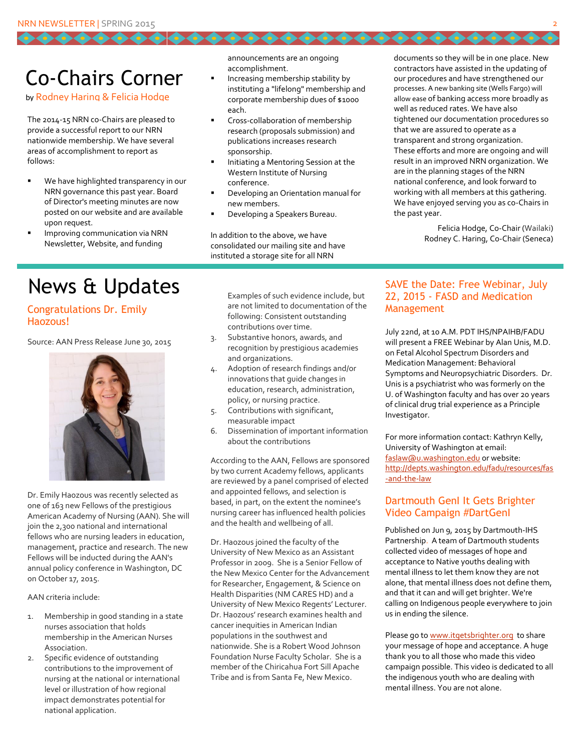## Co-Chairs Corner

by Rodney Haring & Felicia Hodge

The 2014-15 NRN co-Chairs are pleased to provide a successful report to our NRN nationwide membership. We have several areas of accomplishment to report as follows:

- We have highlighted transparency in our NRN governance this past year. Board of Director's meeting minutes are now posted on our website and are available upon request.
- Improving communication via NRN Newsletter, Website, and funding

announcements are an ongoing accomplishment.

- Increasing membership stability by instituting a "lifelong" membership and corporate membership dues of \$1000 each.
- Cross-collaboration of membership research (proposals submission) and publications increases research sponsorship.
- Initiating a Mentoring Session at the Western Institute of Nursing conference.
- Developing an Orientation manual for new members.
- Developing a Speakers Bureau.

In addition to the above, we have consolidated our mailing site and have instituted a storage site for all NRN

documents so they will be in one place. New contractors have assisted in the updating of our procedures and have strengthened our processes. A new banking site (Wells Fargo) will allow ease of banking access more broadly as well as reduced rates. We have also tightened our documentation procedures so that we are assured to operate as a transparent and strong organization. These efforts and more are ongoing and will result in an improved NRN organization. We are in the planning stages of the NRN national conference, and look forward to working with all members at this gathering. We have enjoyed serving you as co-Chairs in the past year.

66666666

Felicia Hodge, Co-Chair (Wailaki) Rodney C. Haring, Co-Chair (Seneca)

# News & Updates

#### Congratulations Dr. Emily Haozous!

Source: AAN Press Release June 30, 2015



Dr. Emily Haozous was recently selected as one of 163 new Fellows of the prestigious American Academy of Nursing (AAN). She will join the 2,300 national and international fellows who are nursing leaders in education, management, practice and research. The new Fellows will be inducted during the AAN's annual policy conference in Washington, DC on October 17, 2015.

AAN criteria include:

- 1. Membership in good standing in a state nurses association that holds membership in the American Nurses Association.
- 2. Specific evidence of outstanding contributions to the improvement of nursing at the national or international level or illustration of how regional impact demonstrates potential for national application.

Examples of such evidence include, but are not limited to documentation of the following: Consistent outstanding contributions over time.

- 3. Substantive honors, awards, and recognition by prestigious academies and organizations.
- 4. Adoption of research findings and/or innovations that guide changes in education, research, administration, policy, or nursing practice.
- 5. Contributions with significant, measurable impact
- 6. Dissemination of important information about the contributions

According to the AAN, Fellows are sponsored by two current Academy fellows, applicants are reviewed by a panel comprised of elected and appointed fellows, and selection is based, in part, on the extent the nominee's nursing career has influenced health policies and the health and wellbeing of all.

Dr. Haozous joined the faculty of the University of New Mexico as an Assistant Professor in 2009. She is a Senior Fellow of the New Mexico Center for the Advancement for Researcher, Engagement, & Science on Health Disparities (NM CARES HD) and a University of New Mexico Regents' Lecturer. Dr. Haozous' research examines health and cancer inequities in American Indian populations in the southwest and nationwide. She is a Robert Wood Johnson Foundation Nurse Faculty Scholar. She is a member of the Chiricahua Fort Sill Apache Tribe and is from Santa Fe, New Mexico.

#### SAVE the Date: Free Webinar, July 22, 2015 - FASD and Medication Management

July 22nd, at 10 A.M. PDT IHS/NPAIHB/FADU will present a FREE Webinar by Alan Unis, M.D. on Fetal Alcohol Spectrum Disorders and Medication Management: Behavioral Symptoms and Neuropsychiatric Disorders. Dr. Unis is a psychiatrist who was formerly on the U. of Washington faculty and has over 20 years of clinical drug trial experience as a Principle Investigator.

For more information contact: Kathryn Kelly, University of Washington at email: [faslaw@u.washington.edu](mailto:faslaw@u.washington.edu) or website: [http://depts.washington.edu/fadu/resources/fas](http://depts.washington.edu/fadu/resources/fas-and-the-law) [-and-the-law](http://depts.washington.edu/fadu/resources/fas-and-the-law)

#### Dartmouth GenI It Gets Brighter Video Campaign #DartGenI

Published on Jun 9, 2015 by Dartmouth-IHS Partnership. A team of Dartmouth students collected video of messages of hope and acceptance to Native youths dealing with mental illness to let them know they are not alone, that mental illness does not define them, and that it can and will get brighter. We're calling on Indigenous people everywhere to join us in ending the silence.

Please go t[o www.itgetsbrighter.org](http://www.itgetsbrighter.org/) to share your message of hope and acceptance. A huge thank you to all those who made this video campaign possible. This video is dedicated to all the indigenous youth who are dealing with mental illness. You are not alone.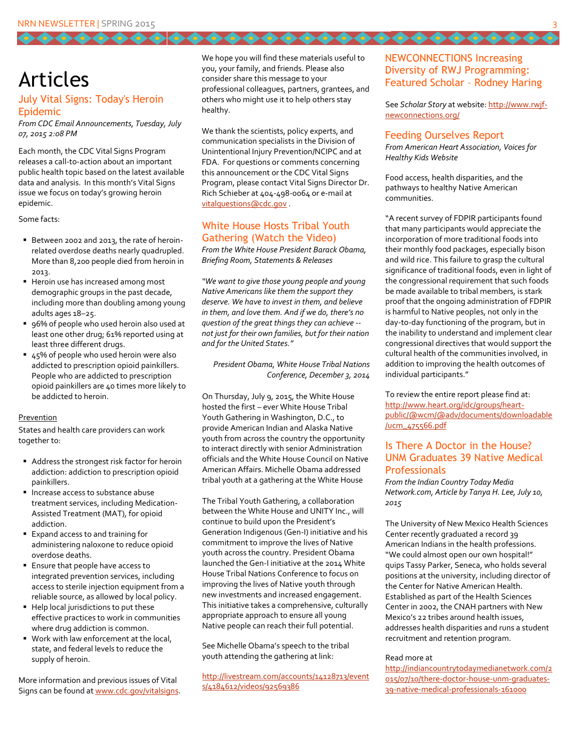## Articles

#### July Vital Signs: Today's Heroin Epidemic

*From CDC Email Announcements, Tuesday, July 07, 2015 2:08 PM*

Each month, the CDC Vital Signs Program releases a call-to-action about an important public health topic based on the latest available data and analysis. In this month's Vital Signs issue we focus on today's growing heroin epidemic.

Some facts:

- Between 2002 and 2013, the rate of heroinrelated overdose deaths nearly quadrupled. More than 8,200 people died from heroin in 2013.
- Heroin use has increased among most demographic groups in the past decade, including more than doubling among young adults ages 18–25.
- 96% of people who used heroin also used at least one other drug; 61% reported using at least three different drugs.
- 45% of people who used heroin were also addicted to prescription opioid painkillers. People who are addicted to prescription opioid painkillers are 40 times more likely to be addicted to heroin.

#### Prevention

States and health care providers can work together to:

- Address the strongest risk factor for heroin addiction: addiction to prescription opioid painkillers.
- **Increase access to substance abuse** treatment services, including Medication-Assisted Treatment (MAT), for opioid addiction.
- Expand access to and training for administering naloxone to reduce opioid overdose deaths.
- **Ensure that people have access to** integrated prevention services, including access to sterile injection equipment from a reliable source, as allowed by local policy.
- Help local jurisdictions to put these effective practices to work in communities where drug addiction is common.
- **Work with law enforcement at the local,** state, and federal levels to reduce the supply of heroin.

More information and previous issues of Vital Signs can be found a[t www.cdc.gov/vitalsigns.](http://www.cdc.gov/vitalsigns) We hope you will find these materials useful to you, your family, and friends. Please also consider share this message to your professional colleagues, partners, grantees, and others who might use it to help others stay healthy.

,,,,,,,,,,,,,,,,,,,,,,,,,,,,

We thank the scientists, policy experts, and communication specialists in the Division of Unintentional Injury Prevention/NCIPC and at FDA. For questions or comments concerning this announcement or the CDC Vital Signs Program, please contact Vital Signs Director Dr. Rich Schieber at 404-498-0064 or e-mail at [vitalquestions@cdc.gov](mailto:vitalquestions@cdc.gov) .

#### White House Hosts Tribal Youth Gathering (Watch the Video)

*From the White House President Barack Obama, Briefing Room, Statements & Releases* 

*"We want to give those young people and young Native Americans like them the support they deserve. We have to invest in them, and believe in them, and love them. And if we do, there's no question of the great things they can achieve - not just for their own families, but for their nation and for the United States."*

*President Obama, White House Tribal Nations Conference, December 3, 2014*

On Thursday, July 9, 2015, the White House hosted the first – ever White House Tribal Youth Gathering in Washington, D.C., to provide American Indian and Alaska Native youth from across the country the opportunity to interact directly with senior Administration officials and the White House Council on Native American Affairs. Michelle Obama addressed tribal youth at a gathering at the White House

The Tribal Youth Gathering, a collaboration between the White House and UNITY Inc., will continue to build upon the President's Generation Indigenous (Gen-I) initiative and his commitment to improve the lives of Native youth across the country. President Obama launched the Gen-I initiative at the 2014 White House Tribal Nations Conference to focus on improving the lives of Native youth through new investments and increased engagement. This initiative takes a comprehensive, culturally appropriate approach to ensure all young Native people can reach their full potential.

See Michelle Obama's speech to the tribal youth attending the gathering at link:

[http://livestream.com/accounts/14128713/event](http://livestream.com/accounts/14128713/events/4184612/videos/92569386) [s/4184612/videos/92569386](http://livestream.com/accounts/14128713/events/4184612/videos/92569386)

#### NEWCONNECTIONS Increasing Diversity of RWJ Programming: Featured Scholar – Rodney Haring

See *Scholar Story* at website[: http://www.rwjf](http://www.rwjf-newconnections.org/)[newconnections.org/](http://www.rwjf-newconnections.org/)

#### Feeding Ourselves Report

*From American Heart Association, Voices for Healthy Kids Website* 

Food access, health disparities, and the pathways to healthy Native American communities.

"A recent survey of FDPIR participants found that many participants would appreciate the incorporation of more traditional foods into their monthly food packages, especially bison and wild rice. This failure to grasp the cultural significance of traditional foods, even in light of the congressional requirement that such foods be made available to tribal members, is stark proof that the ongoing administration of FDPIR is harmful to Native peoples, not only in the day-to-day functioning of the program, but in the inability to understand and implement clear congressional directives that would support the cultural health of the communities involved, in addition to improving the health outcomes of individual participants."

To review the entire report please find at: [http://www.heart.org/idc/groups/heart](http://www.heart.org/idc/groups/heart-public/@wcm/@adv/documents/downloadable/ucm_475566.pdf)[public/@wcm/@adv/documents/downloadable](http://www.heart.org/idc/groups/heart-public/@wcm/@adv/documents/downloadable/ucm_475566.pdf) [/ucm\\_475566.pdf](http://www.heart.org/idc/groups/heart-public/@wcm/@adv/documents/downloadable/ucm_475566.pdf)

#### Is There A Doctor in the House? UNM Graduates 39 Native Medical **Professionals**

*From the Indian Country Today Media Network.com, Article by Tanya H. Lee, July 10, 2015*

The University of New Mexico Health Sciences Center recently graduated a record 39 American Indians in the health professions. "We could almost open our own hospital!" quips Tassy Parker, Seneca, who holds several positions at the university, including director of the Center for Native American Health. Established as part of the Health Sciences Center in 2002, the CNAH partners with New Mexico's 22 tribes around health issues, addresses health disparities and runs a student recruitment and retention program.

#### Read more at

[http://indiancountrytodaymedianetwork.com/2](http://indiancountrytodaymedianetwork.com/2015/07/10/there-doctor-house-unm-graduates-39-native-medical-professionals-161000) [015/07/10/there-doctor-house-unm-graduates-](http://indiancountrytodaymedianetwork.com/2015/07/10/there-doctor-house-unm-graduates-39-native-medical-professionals-161000)[39-native-medical-professionals-161000](http://indiancountrytodaymedianetwork.com/2015/07/10/there-doctor-house-unm-graduates-39-native-medical-professionals-161000)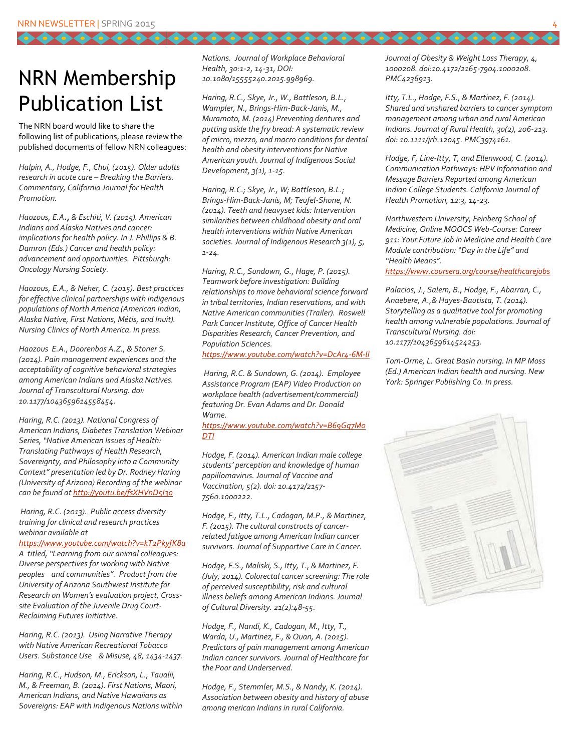# NRN Membership Publication List

The NRN board would like to share the following list of publications, please review the published documents of fellow NRN colleagues:

*Halpin, A., Hodge, F., Chui, (2015). Older adults research in acute care – Breaking the Barriers. Commentary, California Journal for Health Promotion.* 

*Haozous, E.A., & Eschiti, V. (2015). American Indians and Alaska Natives and cancer: implications for health policy. In J. Phillips & B. Damron (Eds.) Cancer and health policy: advancement and opportunities. Pittsburgh: Oncology Nursing Society.* 

*Haozous, E.A., & Neher, C. (2015). Best practices for effective clinical partnerships with indigenous populations of North America (American Indian, Alaska Native, First Nations, Métis, and Inuit). Nursing Clinics of North America. In press.*

*Haozous E.A., Doorenbos A.Z., & Stoner S. (2014). Pain management experiences and the acceptability of cognitive behavioral strategies among American Indians and Alaska Natives. Journal of Transcultural Nursing. doi: 10.1177/1043659614558454.*

*Haring, R.C. (2013). National Congress of American Indians, Diabetes Translation Webinar Series, "Native American Issues of Health: Translating Pathways of Health Research, Sovereignty, and Philosophy into a Community Context" presentation led by Dr. Rodney Haring (University of Arizona) Recording of the webinar can be found a[t http://youtu.be/fsXHVnD5I3o](http://youtu.be/fsXHVnD5I3o)*

*Haring, R.C. (2013). Public access diversity training for clinical and research practices webinar available at* 

*<https://www.youtube.com/watch?v=kT2PkyfK8a> A titled, "Learning from our animal colleagues: Diverse perspectives for working with Native peoples and communities". Product from the University of Arizona Southwest Institute for Research on Women's evaluation project, Crosssite Evaluation of the Juvenile Drug Court-Reclaiming Futures Initiative.*

*Haring, R.C. (2013). Using Narrative Therapy with Native American Recreational Tobacco Users. Substance Use & Misuse, 48, 1434-1437.* 

*Haring, R.C., Hudson, M., Erickson, L., Taualii, M., & Freeman, B. (2014). First Nations, Maori, American Indians, and Native Hawaiians as Sovereigns: EAP with Indigenous Nations within* 

*Nations. Journal of Workplace Behavioral Health, 30:1-2, 14-31, DOI: 10.1080/15555240.2015.998969.*

*Haring, R.C., Skye, Jr., W., Battleson, B.L., Wampler, N., Brings-Him-Back-Janis, M., Muramoto, M. (2014) Preventing dentures and putting aside the fry bread: A systematic review of micro, mezzo, and macro conditions for dental health and obesity interventions for Native American youth. Journal of Indigenous Social Development, 3(1), 1-15.*

*Haring, R.C.; Skye, Jr., W; Battleson, B.L.; Brings-Him-Back-Janis, M; Teufel-Shone, N. (2014). Teeth and heavyset kids: Intervention similarities between childhood obesity and oral health interventions within Native American societies. Journal of Indigenous Research 3(1), 5, 1-24.*

*Haring, R.C., Sundown, G., Hage, P. (2015). Teamwork before investigation: Building relationships to move behavioral science forward in tribal territories, Indian reservations, and with Native American communities (Trailer). Roswell Park Cancer Institute, Office of Cancer Health Disparities Research, Cancer Prevention, and Population Sciences.* 

*<https://www.youtube.com/watch?v=DcAr4-6M-lI>*

*Haring, R.C. & Sundown, G. (2014). Employee Assistance Program (EAP) Video Production on workplace health (advertisement/commercial) featuring Dr. Evan Adams and Dr. Donald Warne.* 

#### *[https://www.youtube.com/watch?v=B69Gq7M0](https://www.youtube.com/watch?v=B69Gq7M0DTI) [DTI](https://www.youtube.com/watch?v=B69Gq7M0DTI)*

*Hodge, F. (2014). American Indian male college students' perception and knowledge of human papillomavirus. Journal of Vaccine and Vaccination, 5(2). doi: 10.4172/2157- 7560.1000222.*

*Hodge, F., Itty, T.L., Cadogan, M.P., & Martinez, F. (2015). The cultural constructs of cancerrelated fatigue among American Indian cancer survivors. Journal of Supportive Care in Cancer.* 

*Hodge, F.S., Maliski, S., Itty, T., & Martinez, F. (July, 2014). Colorectal cancer screening: The role of perceived susceptibility, risk and cultural illness beliefs among American Indians. Journal of Cultural Diversity. 21(2):48-55.* 

*Hodge, F., Nandi, K., Cadogan, M., Itty, T., Warda, U., Martinez, F., & Quan, A. (2015). Predictors of pain management among American Indian cancer survivors. Journal of Healthcare for the Poor and Underserved.*

*Hodge, F., Stemmler, M.S., & Nandy, K. (2014). Association between obesity and history of abuse among merican Indians in rural California.* 

*Journal of Obesity & Weight Loss Therapy, 4, 1000208. doi:10.4172/2165-7904.1000208. PMC4236913.*

*Itty, T.L., Hodge, F.S., & Martinez, F. (2014). Shared and unshared barriers to cancer symptom management among urban and rural American Indians. Journal of Rural Health, 30(2), 206-213. doi: 10.1111/jrh.12045. PMC3974161.* 

*Hodge, F, Line-Itty, T, and Ellenwood, C. (2014). Communication Pathways: HPV Information and Message Barriers Reported among American Indian College Students. California Journal of Health Promotion, 12:3, 14-23.*

*Northwestern University, Feinberg School of Medicine, Online MOOCS Web-Course: Career 911: Your Future Job in Medicine and Health Care Module contribution: "Day in the Life" and "Health Means".* 

*<https://www.coursera.org/course/healthcarejobs>*

*Palacios, J., Salem, B., Hodge, F., Abarran, C., Anaebere, A.,& Hayes-Bautista, T. (2014). Storytelling as a qualitative tool for promoting health among vulnerable populations. Journal of Transcultural Nursing. doi: 10.1177/1043659614524253.*

*Tom-Orme, L. Great Basin nursing. In MP Moss (Ed.) American Indian health and nursing. New York: Springer Publishing Co. In press.*

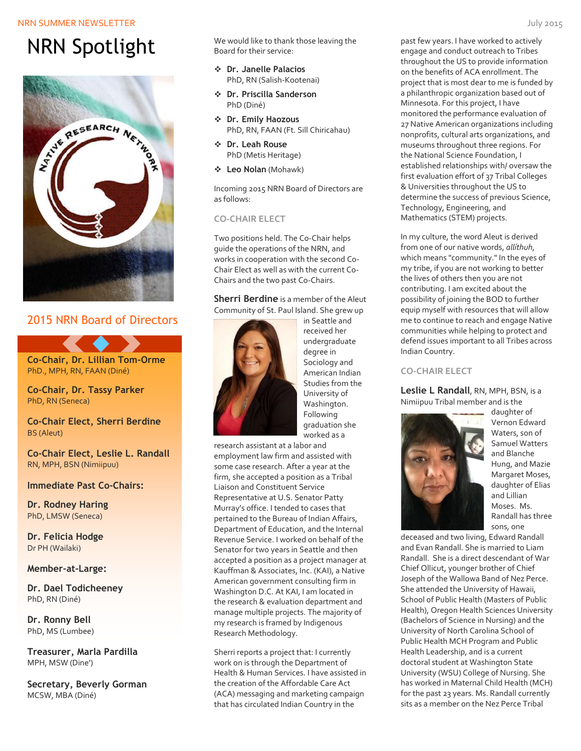#### NRN SUMMER NEWSLETTER THE UNIVERSITY OF THE UNIVERSITY OF THE UNIVERSITY OF THE UNIVERSITY OF THE UNIVERSITY OF THE UNIVERSITY OF THE UNIVERSITY OF THE UNIVERSITY OF THE UNIVERSITY OF THE UNIVERSITY OF THE UNIVERSITY OF TH

# NRN Spotlight



### 2015 NRN Board of Directors



**Co-Chair, Dr. Tassy Parker** PhD, RN (Seneca)

**Co-Chair Elect, Sherri Berdine** BS (Aleut)

**Co-Chair Elect, Leslie L. Randall** RN, MPH, BSN (Nimiipuu)

#### **Immediate Past Co-Chairs:**

**Dr. Rodney Haring** PhD, LMSW (Seneca)

**Dr. Felicia Hodge** Dr PH (Wailaki)

#### **Member-at-Large:**

**Dr. Dael Todicheeney** PhD, RN (Diné)

**Dr. Ronny Bell**  PhD, MS (Lumbee)

**Treasurer, Marla Pardilla** MPH, MSW (Dine')

**Secretary, Beverly Gorman** MCSW, MBA (Diné)

We would like to thank those leaving the Board for their service:

- **Dr. Janelle Palacios** PhD, RN (Salish-Kootenai)
- **Dr. Priscilla Sanderson** PhD (Diné)
- **Dr. Emily Haozous** PhD, RN, FAAN (Ft. Sill Chiricahau)
- **Dr. Leah Rouse** PhD (Metis Heritage)
- **Leo Nolan** (Mohawk)

Incoming 2015 NRN Board of Directors are as follows:

#### **CO-CHAIR ELECT**

Two positions held. The Co-Chair helps guide the operations of the NRN, and works in cooperation with the second Co-Chair Elect as well as with the current Co-Chairs and the two past Co-Chairs.

#### **Sherri Berdine** is a member of the Aleut Community of St. Paul Island. She grew up



in Seattle and received her undergraduate degree in Sociology and American Indian Studies from the University of Washington. Following graduation she worked as a

research assistant at a labor and employment law firm and assisted with some case research. After a year at the firm, she accepted a position as a Tribal Liaison and Constituent Service Representative at U.S. Senator Patty Murray's office. I tended to cases that pertained to the Bureau of Indian Affairs, Department of Education, and the Internal Revenue Service. I worked on behalf of the Senator for two years in Seattle and then accepted a position as a project manager at Kauffman & Associates, Inc. (KAI), a Native American government consulting firm in Washington D.C. At KAI, I am located in the research & evaluation department and manage multiple projects. The majority of my research is framed by Indigenous Research Methodology.

Sherri reports a project that: I currently work on is through the Department of Health & Human Services. I have assisted in the creation of the Affordable Care Act (ACA) messaging and marketing campaign that has circulated Indian Country in the

past few years. I have worked to actively engage and conduct outreach to Tribes throughout the US to provide information on the benefits of ACA enrollment. The project that is most dear to me is funded by a philanthropic organization based out of Minnesota. For this project, I have monitored the performance evaluation of 27 Native American organizations including nonprofits, cultural arts organizations, and museums throughout three regions. For the National Science Foundation, I established relationships with/ oversaw the first evaluation effort of 37 Tribal Colleges & Universities throughout the US to determine the success of previous Science, Technology, Engineering, and Mathematics (STEM) projects.

In my culture, the word Aleut is derived from one of our native words, *allíthuh*, which means "community." In the eyes of my tribe, if you are not working to better the lives of others then you are not contributing. I am excited about the possibility of joining the BOD to further equip myself with resources that will allow me to continue to reach and engage Native communities while helping to protect and defend issues important to all Tribes across Indian Country.

#### **CO-CHAIR ELECT**

**Leslie L Randall**, RN, MPH, BSN, is a Nimiipuu Tribal member and is the



daughter of Vernon Edward Waters, son of Samuel Watters and Blanche Hung, and Mazie Margaret Moses, daughter of Elias and Lillian Moses. Ms. Randall has three sons, one

deceased and two living, Edward Randall and Evan Randall. She is married to Liam Randall. She is a direct descendant of War Chief Ollicut, younger brother of Chief Joseph of the Wallowa Band of Nez Perce. She attended the University of Hawaii, School of Public Health (Masters of Public Health), Oregon Health Sciences University (Bachelors of Science in Nursing) and the University of North Carolina School of Public Health MCH Program and Public Health Leadership, and is a current doctoral student at Washington State University (WSU) College of Nursing. She has worked in Maternal Child Health (MCH) for the past 23 years. Ms. Randall currently sits as a member on the Nez Perce Tribal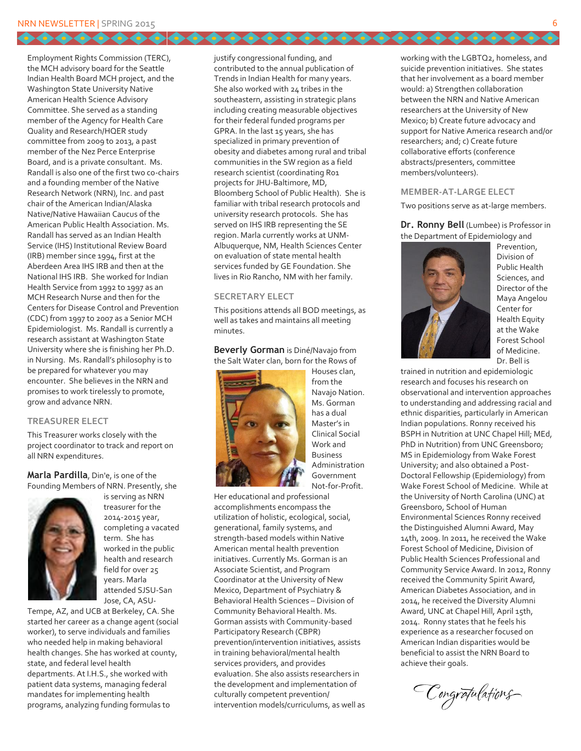.........

Employment Rights Commission (TERC), the MCH advisory board for the Seattle Indian Health Board MCH project, and the Washington State University Native American Health Science Advisory Committee. She served as a standing member of the Agency for Health Care Quality and Research/HQER study committee from 2009 to 2013, a past member of the Nez Perce Enterprise Board, and is a private consultant. Ms. Randall is also one of the first two co-chairs and a founding member of the Native Research Network (NRN), Inc. and past chair of the American Indian/Alaska Native/Native Hawaiian Caucus of the American Public Health Association. Ms. Randall has served as an Indian Health Service (IHS) Institutional Review Board (IRB) member since 1994, first at the Aberdeen Area IHS IRB and then at the National IHS IRB. She worked for Indian Health Service from 1992 to 1997 as an MCH Research Nurse and then for the Centers for Disease Control and Prevention (CDC) from 1997 to 2007 as a Senior MCH Epidemiologist. Ms. Randall is currently a research assistant at Washington State University where she is finishing her Ph.D. in Nursing. Ms. Randall's philosophy is to be prepared for whatever you may encounter. She believes in the NRN and promises to work tirelessly to promote, grow and advance NRN.

#### **TREASURER ELECT**

This Treasurer works closely with the project coordinator to track and report on all NRN expenditures.

**Marla Pardilla**, Din'e, is one of the Founding Members of NRN. Presently, she



is serving as NRN treasurer for the 2014-2015 year, completing a vacated term. She has worked in the public health and research field for over 25 years. Marla attended SJSU-San Jose, CA, ASU-

Tempe, AZ, and UCB at Berkeley, CA. She started her career as a change agent (social worker), to serve individuals and families who needed help in making behavioral health changes. She has worked at county, state, and federal level health departments. At I.H.S., she worked with patient data systems, managing federal mandates for implementing health programs, analyzing funding formulas to

justify congressional funding, and contributed to the annual publication of Trends in Indian Health for many years. She also worked with 24 tribes in the southeastern, assisting in strategic plans including creating measurable objectives for their federal funded programs per GPRA. In the last 15 years, she has specialized in primary prevention of obesity and diabetes among rural and tribal communities in the SW region as a field research scientist (coordinating R01 projects for JHU-Baltimore, MD, Bloomberg School of Public Health). She is familiar with tribal research protocols and university research protocols. She has served on IHS IRB representing the SE region. Marla currently works at UNM-Albuquerque, NM, Health Sciences Center on evaluation of state mental health services funded by GE Foundation. She lives in Rio Rancho, NM with her family.

66666666666666666

#### **SECRETARY ELECT**

This positions attends all BOD meetings, as well as takes and maintains all meeting minutes.

**Beverly Gorman** is Diné/Navajo from the Salt Water clan, born for the Rows of



Houses clan, from the Navajo Nation. Ms. Gorman has a dual Master's in Clinical Social Work and Business Administration Government Not-for-Profit.

Her educational and professional accomplishments encompass the utilization of holistic, ecological, social, generational, family systems, and strength-based models within Native American mental health prevention initiatives. Currently Ms. Gorman is an Associate Scientist, and Program Coordinator at the University of New Mexico, Department of Psychiatry & Behavioral Health Sciences – Division of Community Behavioral Health. Ms. Gorman assists with Community-based Participatory Research (CBPR) prevention/intervention initiatives, assists in training behavioral/mental health services providers, and provides evaluation. She also assists researchers in the development and implementation of culturally competent prevention/ intervention models/curriculums, as well as working with the LGBTQ2, homeless, and suicide prevention initiatives. She states that her involvement as a board member would: a) Strengthen collaboration between the NRN and Native American researchers at the University of New Mexico; b) Create future advocacy and support for Native America research and/or researchers; and; c) Create future collaborative efforts (conference abstracts/presenters, committee members/volunteers).

#### **MEMBER-AT-LARGE ELECT**

Two positions serve as at-large members.

**Dr. Ronny Bell** (Lumbee) is Professor in the Department of Epidemiology and



Prevention, Division of Public Health Sciences, and Director of the Maya Angelou Center for Health Equity at the Wake Forest School of Medicine. Dr. Bell is

trained in nutrition and epidemiologic research and focuses his research on observational and intervention approaches to understanding and addressing racial and ethnic disparities, particularly in American Indian populations. Ronny received his BSPH in Nutrition at UNC Chapel Hill; MEd, PhD in Nutrition) from UNC Greensboro; MS in Epidemiology from Wake Forest University; and also obtained a Post-Doctoral Fellowship (Epidemiology) from Wake Forest School of Medicine. While at the University of North Carolina (UNC) at Greensboro, School of Human Environmental Sciences Ronny received the Distinguished Alumni Award, May 14th, 2009. In 2011, he received the Wake Forest School of Medicine, Division of Public Health Sciences Professional and Community Service Award. In 2012, Ronny received the Community Spirit Award, American Diabetes Association, and in 2014, he received the Diversity Alumni Award, UNC at Chapel Hill, April 15th, 2014. Ronny states that he feels his experience as a researcher focused on American Indian disparities would be beneficial to assist the NRN Board to achieve their goals.

Congrafulations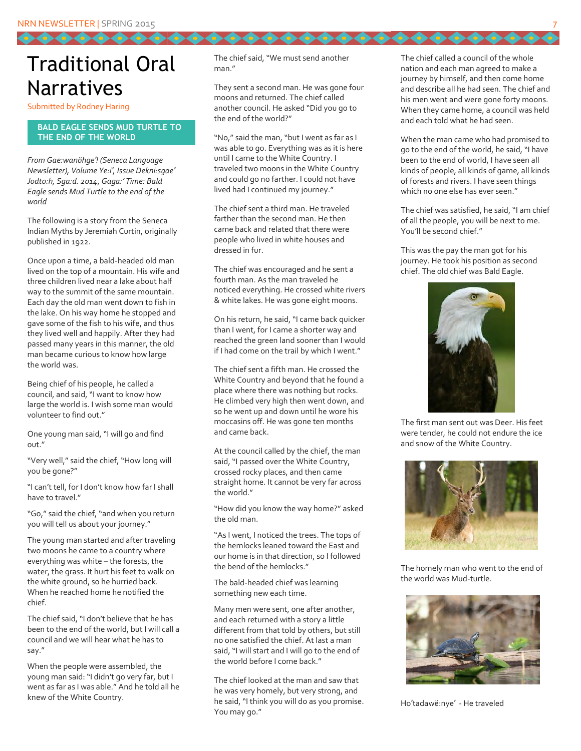### Traditional Oral Narratives

00000000

Submitted by Rodney Haring

#### *4B***BALD EAGLE SENDS MUD TURTLE TO THE END OF THE WORLD**

*From Gae:wanöhge′! (Seneca Language Newsletter), Volume Ye:i′, Issue Dekni:sgae′ Jodto:h, Sga:d. 2014*, *Gaga:' Time: Bald Eagle sends Mud Turtle to the end of the world*

The following is a story from the Seneca Indian Myths by Jeremiah Curtin, originally published in 1922.

Once upon a time, a bald-headed old man lived on the top of a mountain. His wife and three children lived near a lake about half way to the summit of the same mountain. Each day the old man went down to fish in the lake. On his way home he stopped and gave some of the fish to his wife, and thus they lived well and happily. After they had passed many years in this manner, the old man became curious to know how large the world was.

Being chief of his people, he called a council, and said, "I want to know how large the world is. I wish some man would volunteer to find out."

One young man said, "I will go and find out."

"Very well," said the chief, "How long will you be gone?"

"I can't tell, for I don't know how far I shall have to travel."

"Go," said the chief, "and when you return you will tell us about your journey."

The young man started and after traveling two moons he came to a country where everything was white – the forests, the water, the grass. It hurt his feet to walk on the white ground, so he hurried back. When he reached home he notified the chief.

The chief said, "I don't believe that he has been to the end of the world, but I will call a council and we will hear what he has to say."

When the people were assembled, the young man said: "I didn't go very far, but I went as far as I was able." And he told all he knew of the White Country.

The chief said, "We must send another man."

They sent a second man. He was gone four moons and returned. The chief called another council. He asked "Did you go to the end of the world?"

"No," said the man, "but I went as far as I was able to go. Everything was as it is here until I came to the White Country. I traveled two moons in the White Country and could go no farther. I could not have lived had I continued my journey."

The chief sent a third man. He traveled farther than the second man. He then came back and related that there were people who lived in white houses and dressed in fur.

The chief was encouraged and he sent a fourth man. As the man traveled he noticed everything. He crossed white rivers & white lakes. He was gone eight moons.

On his return, he said, "I came back quicker than I went, for I came a shorter way and reached the green land sooner than I would if I had come on the trail by which I went."

The chief sent a fifth man. He crossed the White Country and beyond that he found a place where there was nothing but rocks. He climbed very high then went down, and so he went up and down until he wore his moccasins off. He was gone ten months and came back.

At the council called by the chief, the man said, "I passed over the White Country, crossed rocky places, and then came straight home. It cannot be very far across the world."

"How did you know the way home?" asked the old man.

"As I went, I noticed the trees. The tops of the hemlocks leaned toward the East and our home is in that direction, so I followed the bend of the hemlocks."

The bald-headed chief was learning something new each time.

Many men were sent, one after another, and each returned with a story a little different from that told by others, but still no one satisfied the chief. At last a man said, "I will start and I will go to the end of the world before I come back."

The chief looked at the man and saw that he was very homely, but very strong, and he said, "I think you will do as you promise. You may go."

The chief called a council of the whole nation and each man agreed to make a journey by himself, and then come home and describe all he had seen. The chief and his men went and were gone forty moons. When they came home, a council was held and each told what he had seen.

...........

When the man came who had promised to go to the end of the world, he said, "I have been to the end of world, I have seen all kinds of people, all kinds of game, all kinds of forests and rivers. I have seen things which no one else has ever seen."

The chief was satisfied, he said, "I am chief of all the people, you will be next to me. You'll be second chief."

This was the pay the man got for his journey. He took his position as second chief. The old chief was Bald Eagle.



The first man sent out was Deer. His feet were tender, he could not endure the ice and snow of the White Country.



The homely man who went to the end of the world was Mud-turtle.



Ho′tadawë:nye′ - He traveled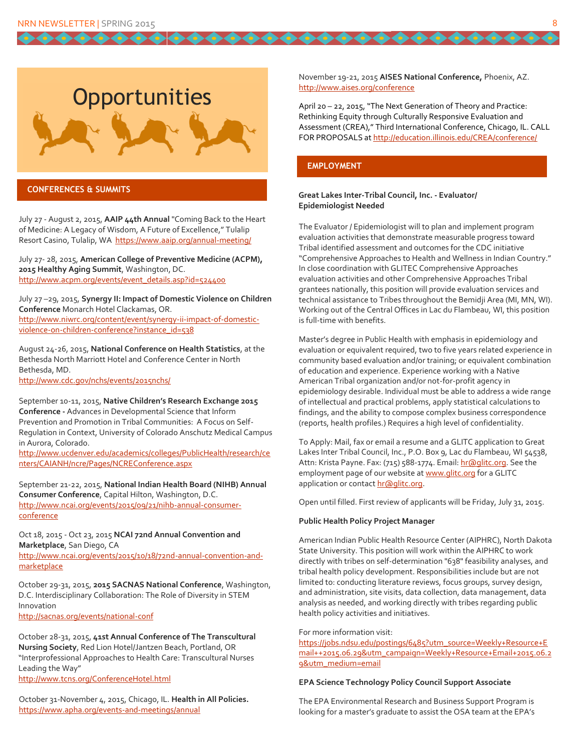$0000000$ 



#### *7B***CONFERENCES & SUMMITS**

July 27 - August 2, 2015, **AAIP 44th Annual** "Coming Back to the Heart of Medicine: A Legacy of Wisdom, A Future of Excellence," Tulalip Resort Casino, Tulalip, WA<https://www.aaip.org/annual-meeting/>

July 27- 28, 2015, **American College of Preventive Medicine (ACPM), 2015 Healthy Aging Summit**, Washington, DC. [http://www.acpm.org/events/event\\_details.asp?id=524400](http://www.acpm.org/events/event_details.asp?id=524400)

July 27 –29, 2015, **Synergy II: Impact of Domestic Violence on Children Conference** Monarch Hotel Clackamas, OR. [http://www.niwrc.org/content/event/synergy-ii-impact-of-domestic](http://www.niwrc.org/content/event/synergy-ii-impact-of-domestic-violence-on-children-conference?instance_id=538)[violence-on-children-conference?instance\\_id=538](http://www.niwrc.org/content/event/synergy-ii-impact-of-domestic-violence-on-children-conference?instance_id=538)

August 24-26, 2015, **National Conference on Health Statistics**, at the Bethesda North Marriott Hotel and Conference Center in North Bethesda, MD.

<http://www.cdc.gov/nchs/events/2015nchs/>

September 10-11, 2015, **Native Children's Research Exchange 2015 Conference -** Advances in Developmental Science that Inform Prevention and Promotion in Tribal Communities: A Focus on Self-Regulation in Context, University of Colorado Anschutz Medical Campus in Aurora, Colorado.

[http://www.ucdenver.edu/academics/colleges/PublicHealth/research/ce](http://www.ucdenver.edu/academics/colleges/PublicHealth/research/centers/CAIANH/ncre/Pages/NCREConference.aspx) [nters/CAIANH/ncre/Pages/NCREConference.aspx](http://www.ucdenver.edu/academics/colleges/PublicHealth/research/centers/CAIANH/ncre/Pages/NCREConference.aspx)

September 21-22, 2015, **National Indian Health Board (NIHB) Annual Consumer Conference**, Capital Hilton, Washington, D.C. [http://www.ncai.org/events/2015/09/21/nihb-annual-consumer](http://www.ncai.org/events/2015/09/21/nihb-annual-consumer-conference)[conference](http://www.ncai.org/events/2015/09/21/nihb-annual-consumer-conference)

#### Oct 18, 2015 - Oct 23, 2015 **NCAI 72nd Annual Convention and Marketplace**, San Diego, CA

[http://www.ncai.org/events/2015/10/18/72nd-annual-convention-and](http://www.ncai.org/events/2015/10/18/72nd-annual-convention-and-marketplace)[marketplace](http://www.ncai.org/events/2015/10/18/72nd-annual-convention-and-marketplace)

October 29-31, 2015, **2015 SACNAS National Conference**, Washington, D.C. Interdisciplinary Collaboration: The Role of Diversity in STEM Innovation <http://sacnas.org/events/national-conf>

October 28-31, 2015, **41st Annual Conference of The Transcultural Nursing Society**, Red Lion Hotel/Jantzen Beach, Portland, OR "Interprofessional Approaches to Health Care: Transcultural Nurses Leading the Way" <http://www.tcns.org/ConferenceHotel.html>

October 31-November 4, 2015, Chicago, IL. **Health in All Policies.** <https://www.apha.org/events-and-meetings/annual>

November 19-21, 2015 **AISES National Conference,** Phoenix, AZ. <http://www.aises.org/conference>

April 20 – 22, 2015, "The Next Generation of Theory and Practice: Rethinking Equity through Culturally Responsive Evaluation and Assessment (CREA)," Third International Conference, Chicago, IL. CALL FOR PROPOSALS a[t http://education.illinois.edu/CREA/conference/](http://education.illinois.edu/CREA/conference/)

#### *7B***EMPLOYMENT**

666666666666666666

#### **Great Lakes Inter-Tribal Council, Inc. - Evaluator/ Epidemiologist Needed**

The Evaluator / Epidemiologist will to plan and implement program evaluation activities that demonstrate measurable progress toward Tribal identified assessment and outcomes for the CDC initiative "Comprehensive Approaches to Health and Wellness in Indian Country." In close coordination with GLITEC Comprehensive Approaches evaluation activities and other Comprehensive Approaches Tribal grantees nationally, this position will provide evaluation services and technical assistance to Tribes throughout the Bemidji Area (MI, MN, WI). Working out of the Central Offices in Lac du Flambeau, WI, this position is full-time with benefits.

Master's degree in Public Health with emphasis in epidemiology and evaluation or equivalent required, two to five years related experience in community based evaluation and/or training; or equivalent combination of education and experience. Experience working with a Native American Tribal organization and/or not-for-profit agency in epidemiology desirable. Individual must be able to address a wide range of intellectual and practical problems, apply statistical calculations to findings, and the ability to compose complex business correspondence (reports, health profiles.) Requires a high level of confidentiality.

To Apply: Mail, fax or email a resume and a GLITC application to Great Lakes Inter Tribal Council, Inc., P.O. Box 9, Lac du Flambeau, WI 54538, Attn: Krista Payne. Fax: (715) 588-1774. Email[: hr@glitc.org.](mailto:hr@glitc.org) See the employment page of our website a[t www.glitc.org](http://www.glitc.org/) for a GLITC application or contac[t hr@glitc.org.](mailto:hr@glitc.org)

Open until filled. First review of applicants will be Friday, July 31, 2015.

#### **Public Health Policy Project Manager**

American Indian Public Health Resource Center (AIPHRC), North Dakota State University. This position will work within the AIPHRC to work directly with tribes on self-determination "638" feasibility analyses, and tribal health policy development. Responsibilities include but are not limited to: conducting literature reviews, focus groups, survey design, and administration, site visits, data collection, data management, data analysis as needed, and working directly with tribes regarding public health policy activities and initiatives.

#### For more information visit:

[https://jobs.ndsu.edu/postings/6485?utm\\_source=Weekly+Resource+E](https://jobs.ndsu.edu/postings/6485?utm_source=Weekly+Resource+Email++2015.06.29&utm_campaign=Weekly+Resource+Email+2015.06.29&utm_medium=email) [mail++2015.06.29&utm\\_campaign=Weekly+Resource+Email+2015.06.2](https://jobs.ndsu.edu/postings/6485?utm_source=Weekly+Resource+Email++2015.06.29&utm_campaign=Weekly+Resource+Email+2015.06.29&utm_medium=email) [9&utm\\_medium=email](https://jobs.ndsu.edu/postings/6485?utm_source=Weekly+Resource+Email++2015.06.29&utm_campaign=Weekly+Resource+Email+2015.06.29&utm_medium=email)

#### **EPA Science Technology Policy Council Support Associate**

The EPA Environmental Research and Business Support Program is looking for a master's graduate to assist the OSA team at the EPA's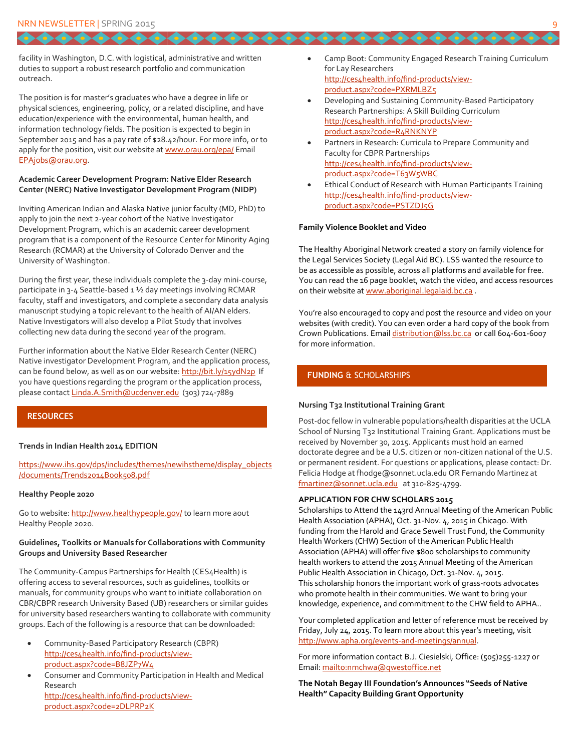facility in Washington, D.C. with logistical, administrative and written duties to support a robust research portfolio and communication outreach.

The position is for master's graduates who have a degree in life or physical sciences, engineering, policy, or a related discipline, and have education/experience with the environmental, human health, and information technology fields. The position is expected to begin in September 2015 and has a pay rate of \$28.42/hour. For more info, or to apply for the position, visit our website a[t www.orau.org/epa/](http://www.orau.org/epa/) Email [EPAjobs@orau.org.](mailto:EPAjobs@orau.org)

#### **Academic Career Development Program: Native Elder Research Center (NERC) Native Investigator Development Program (NIDP)**

Inviting American Indian and Alaska Native junior faculty (MD, PhD) to apply to join the next 2-year cohort of the Native Investigator Development Program, which is an academic career development program that is a component of the Resource Center for Minority Aging Research (RCMAR) at the University of Colorado Denver and the University of Washington.

During the first year, these individuals complete the 3-day mini-course, participate in 3-4 Seattle-based 1 ½ day meetings involving RCMAR faculty, staff and investigators, and complete a secondary data analysis manuscript studying a topic relevant to the health of AI/AN elders. Native Investigators will also develop a Pilot Study that involves collecting new data during the second year of the program.

Further information about the Native Elder Research Center (NERC) Native investigator Development Program, and the application process, can be found below, as well as on our website[: http://bit.ly/15ydN2p](http://bit.ly/15ydN2p) If you have questions regarding the program or the application process, please contac[t Linda.A.Smith@ucdenver.edu](mailto:Linda.A.Smith@ucdenver.edu) (303) 724-7889

#### *7B***RESOURCES**

#### **Trends in Indian Health 2014 EDITION**

[https://www.ihs.gov/dps/includes/themes/newihstheme/display\\_objects](https://www.ihs.gov/dps/includes/themes/newihstheme/display_objects/documents/Trends2014Book508.pdf) [/documents/Trends2014Book508.pdf](https://www.ihs.gov/dps/includes/themes/newihstheme/display_objects/documents/Trends2014Book508.pdf)

#### **Healthy People 2020**

Go to website[: http://www.healthypeople.gov/](http://www.healthypeople.gov/) to learn more aout Healthy People 2020.

#### **Guidelines, Toolkits or Manuals for Collaborations with Community Groups and University Based Researcher**

The Community-Campus Partnerships for Health (CES4Health) is offering access to several resources, such as guidelines, toolkits or manuals, for community groups who want to initiate collaboration on CBR/CBPR research University Based (UB) researchers or similar guides for university based researchers wanting to collaborate with community groups. Each of the following is a resource that can be downloaded:

- Community-Based Participatory Research (CBPR) [http://ces4health.info/find-products/view](http://ces4health.info/find-products/view-product.aspx?code=B8JZP7W4)[product.aspx?code=B8JZP7W4](http://ces4health.info/find-products/view-product.aspx?code=B8JZP7W4)
- Consumer and Community Participation in Health and Medical Research [http://ces4health.info/find-products/view](http://ces4health.info/find-products/view-product.aspx?code=2DLPRP2K)
	- [product.aspx?code=2DLPRP2K](http://ces4health.info/find-products/view-product.aspx?code=2DLPRP2K)

 Camp Boot: Community Engaged Research Training Curriculum for Lay Researchers [http://ces4health.info/find-products/view](http://ces4health.info/find-products/view-product.aspx?code=PXRMLBZ5)[product.aspx?code=PXRMLBZ5](http://ces4health.info/find-products/view-product.aspx?code=PXRMLBZ5)

 $10000000000$ 

- Developing and Sustaining Community-Based Participatory Research Partnerships: A Skill Building Curriculum [http://ces4health.info/find-products/view](http://ces4health.info/find-products/view-product.aspx?code=R4RNKNYP)[product.aspx?code=R4RNKNYP](http://ces4health.info/find-products/view-product.aspx?code=R4RNKNYP)
- Partners in Research: Curricula to Prepare Community and Faculty for CBPR Partnerships [http://ces4health.info/find-products/view](http://ces4health.info/find-products/view-product.aspx?code=T63W5WBC)[product.aspx?code=T63W5WBC](http://ces4health.info/find-products/view-product.aspx?code=T63W5WBC)
- Ethical Conduct of Research with Human Participants Training [http://ces4health.info/find-products/view](http://ces4health.info/find-products/view-product.aspx?code=PSTZDJ5G)[product.aspx?code=PSTZDJ5G](http://ces4health.info/find-products/view-product.aspx?code=PSTZDJ5G)

#### **Family Violence Booklet and Video**

The Healthy Aboriginal Network created a story on family violence for the Legal Services Society (Legal Aid BC). LSS wanted the resource to be as accessible as possible, across all platforms and available for free. You can read the 16 page booklet, watch the video, and access resources on their website at [www.aboriginal.legalaid.bc.ca](http://www.aboriginal.legalaid.bc.ca/) .

You're also encouraged to copy and post the resource and video on your websites (with credit). You can even order a hard copy of the book from Crown Publications. Emai[l distribution@lss.bc.ca](mailto:distribution@lss.bc.ca) or call 604-601-6007 for more information.

#### *FUNDING* & SCHOLARSHIPS

#### **Nursing T32 Institutional Training Grant**

Post-doc fellow in vulnerable populations/health disparities at the UCLA School of Nursing T32 Institutional Training Grant. Applications must be received by November 30, 2015. Applicants must hold an earned doctorate degree and be a U.S. citizen or non-citizen national of the U.S. or permanent resident. For questions or applications, please contact: Dr. Felicia Hodge at fhodge@sonnet.ucla.edu OR Fernando Martinez at [fmartinez@sonnet.ucla.edu](mailto:fmartinez@sonnet.ucla.edu) at 310-825-4799.

#### **APPLICATION FOR CHW SCHOLARS 2015**

Scholarships to Attend the 143rd Annual Meeting of the American Public Health Association (APHA), Oct. 31-Nov. 4, 2015 in Chicago. With funding from the Harold and Grace Sewell Trust Fund, the Community Health Workers (CHW) Section of the American Public Health Association (APHA) will offer five \$800 scholarships to community health workers to attend the 2015 Annual Meeting of the American Public Health Association in Chicago, Oct. 31-Nov. 4, 2015. This scholarship honors the important work of grass-roots advocates who promote health in their communities. We want to bring your knowledge, experience, and commitment to the CHW field to APHA..

Your completed application and letter of reference must be received by Friday, July 24, 2015. To learn more about this year's meeting, visit [http://www.apha.org/events-and-meetings/annual.](http://www.apha.org/events-and-meetings/annual)

For more information contact B.J. Ciesielski, Office: (505)255-1227 or Email:<mailto:nmchwa@qwestoffice.net>

**The Notah Begay III Foundation's Announces "Seeds of Native Health" Capacity Building Grant Opportunity**